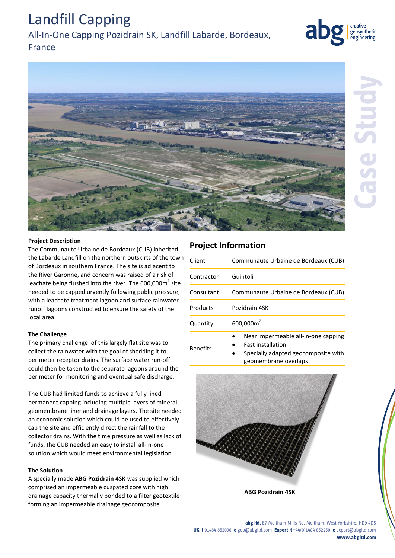#### **abg ltd.** E7 Meltham Mills Rd, Meltham, West Yorkshire, HD9 4DS **UK t** 01484 852096 **e** geo@abgltd.com **Export t** +44(0)1484 852250 **e** export@abgltd.com **www.abgltd.com**

# Landfill Capping

## All-In-One Capping Pozidrain SK, Landfill Labarde, Bordeaux,

## France

# **Project Description** The Communaute Urbaine de Bordeaux (CUB) inherited

the Labarde Landfill on the northern outskirts of the town of Bordeaux in southern France. The site is adjacent to the River Garonne, and concern was raised of a risk of leachate being flushed into the river. The 600,000 $m^2$  site needed to be capped urgently following public pressure, with a leachate treatment lagoon and surface rainwater runoff lagoons constructed to ensure the safety of the local area.

#### **The Challenge**

The primary challenge of this largely flat site was to collect the rainwater with the goal of shedding it to perimeter receptor drains. The surface water run-off could then be taken to the separate lagoons around the perimeter for monitoring and eventual safe discharge.

The CUB had limited funds to achieve a fully lined permanent capping including multiple layers of mineral, geomembrane liner and drainage layers. The site needed an economic solution which could be used to effectively cap the site and efficiently direct the rainfall to the collector drains. With the time pressure as well as lack of funds, the CUB needed an easy to install all-in-one solution which would meet environmental legislation.

#### **The Solution**

A specially made **ABG Pozidrain 4SK** was supplied which comprised an impermeable cuspated core with high drainage capacity thermally bonded to a filter geotextile forming an impermeable drainage geocomposite.

### **Project Information**

| Client          | Communaute Urbaine de Bordeaux (CUB)                                                                                           |
|-----------------|--------------------------------------------------------------------------------------------------------------------------------|
| Contractor      | Guintoli                                                                                                                       |
| Consultant      | Communaute Urbaine de Bordeaux (CUB)                                                                                           |
| Products        | Pozidrain 4SK                                                                                                                  |
| Quantity        | 600,000m <sup>2</sup>                                                                                                          |
| <b>Benefits</b> | Near impermeable all-in-one capping<br><b>Fast installation</b><br>Specially adapted geocomposite with<br>geomembrane overlaps |